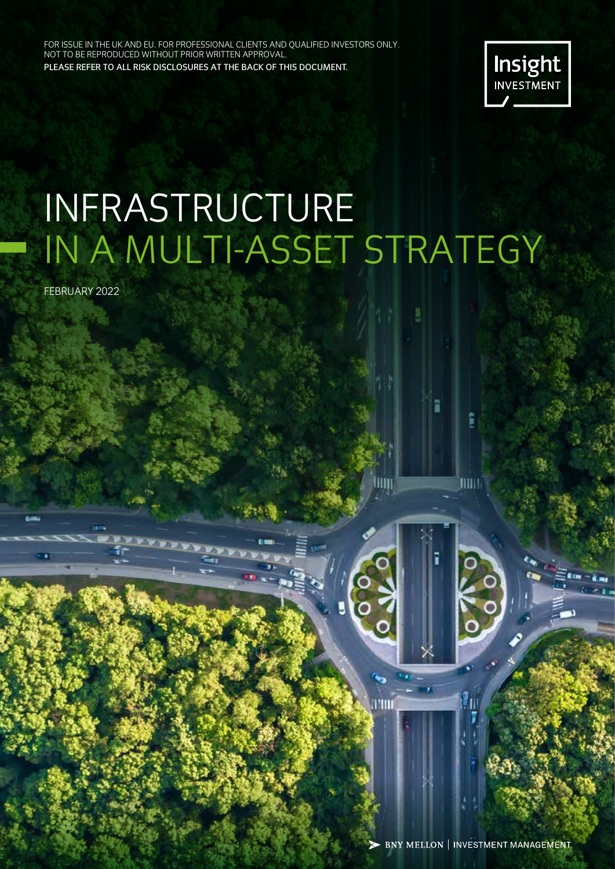FOR ISSUE IN THE UK AND EU. FOR PROFESSIONAL CLIENTS AND QUALIFIED INVESTORS ONLY. NOT TO BE REPRODUCED WITHOUT PRIOR WRITTEN APPROVAL. PLEASE REFER TO ALL RISK DISCLOSURES AT THE BACK OF THIS DOCUMENT.



# INFRASTRUCTURE IN A MULTI-ASSET STRATEGY

FEBRUARY 2022

- BNY MELLON | INVESTMENT MANAGEMENT

litti

 $\bullet_2$ 

ANII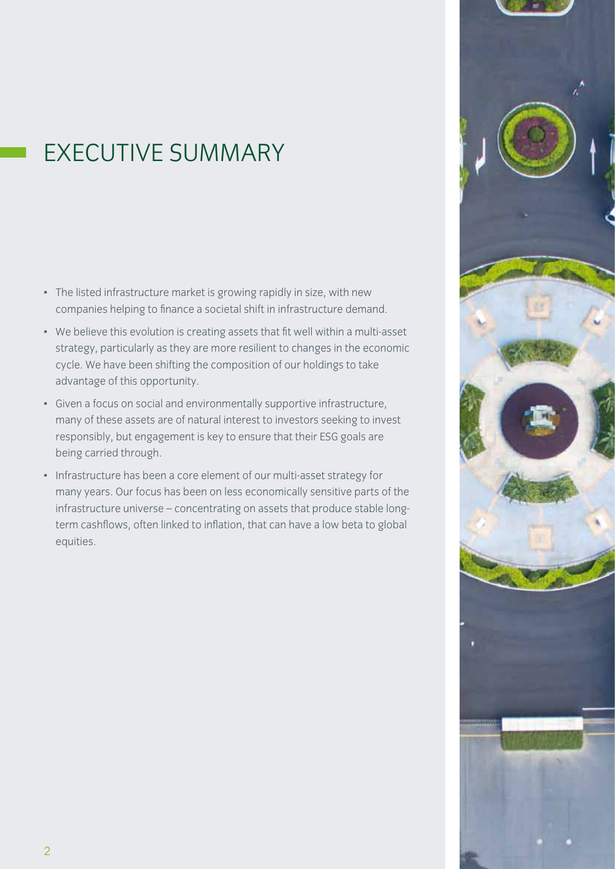# EXECUTIVE SUMMARY

- The listed infrastructure market is growing rapidly in size, with new companies helping to finance a societal shift in infrastructure demand.
- We believe this evolution is creating assets that fit well within a multi-asset strategy, particularly as they are more resilient to changes in the economic cycle. We have been shifting the composition of our holdings to take advantage of this opportunity.
- Given a focus on social and environmentally supportive infrastructure, many of these assets are of natural interest to investors seeking to invest responsibly, but engagement is key to ensure that their ESG goals are being carried through.
- Infrastructure has been a core element of our multi-asset strategy for many years. Our focus has been on less economically sensitive parts of the infrastructure universe – concentrating on assets that produce stable longterm cashflows, often linked to inflation, that can have a low beta to global equities.

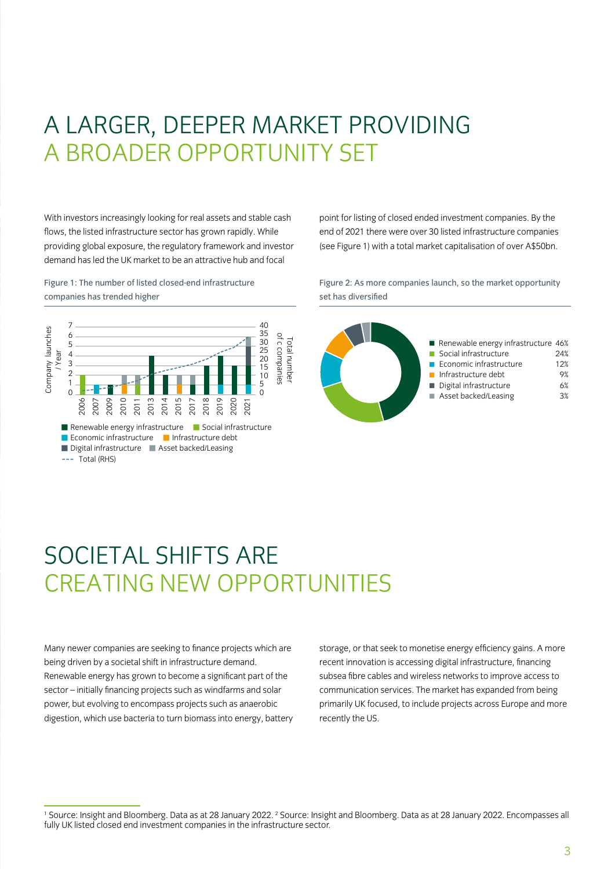### A LARGER, DEEPER MARKET PROVIDING A BROADER OPPORTUNITY SET

With investors increasingly looking for real assets and stable cash flows, the listed infrastructure sector has grown rapidly. While providing global exposure, the regulatory framework and investor demand has led the UK market to be an attractive hub and focal

Figure 1: The number of listed closed-end infrastructure companies has trended higher



point for listing of closed ended investment companies. By the end of 2021 there were over 30 listed infrastructure companies (see Figure 1) with a total market capitalisation of over A\$50bn.

Figure 2: As more companies launch, so the market opportunity set has diversified



# SOCIETAL SHIFTS ARE CREATING NEW OPPORTUNITIES

Many newer companies are seeking to finance projects which are being driven by a societal shift in infrastructure demand. Renewable energy has grown to become a significant part of the sector – initially financing projects such as windfarms and solar power, but evolving to encompass projects such as anaerobic digestion, which use bacteria to turn biomass into energy, battery

storage, or that seek to monetise energy efficiency gains. A more recent innovation is accessing digital infrastructure, financing subsea fibre cables and wireless networks to improve access to communication services. The market has expanded from being primarily UK focused, to include projects across Europe and more recently the US.

<sup>1</sup> Source: Insight and Bloomberg. Data as at 28 January 2022. <sup>2</sup> Source: Insight and Bloomberg. Data as at 28 January 2022. Encompasses all fully UK listed closed end investment companies in the infrastructure sector.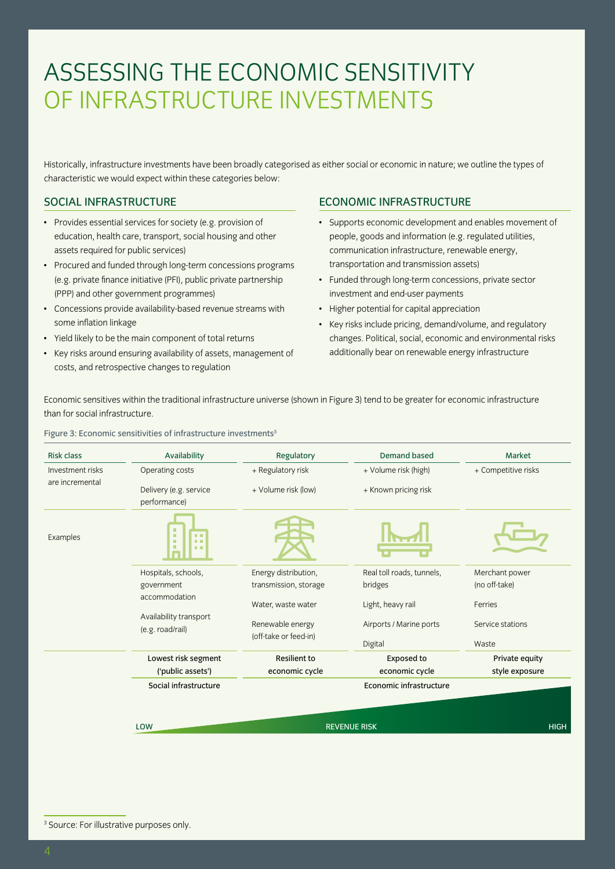# ASSESSING THE ECONOMIC SENSITIVITY OF INFRASTRUCTURE INVESTMENTS

Historically, infrastructure investments have been broadly categorised as either social or economic in nature; we outline the types of characteristic we would expect within these categories below:

### SOCIAL INFRASTRUCTURE

- Provides essential services for society (e.g. provision of education, health care, transport, social housing and other assets required for public services)
- Procured and funded through long-term concessions programs (e.g. private finance initiative (PFI), public private partnership (PPP) and other government programmes)
- Concessions provide availability-based revenue streams with some inflation linkage
- Yield likely to be the main component of total returns
- Key risks around ensuring availability of assets, management of costs, and retrospective changes to regulation

### ECONOMIC INFRASTRUCTURE

- Supports economic development and enables movement of people, goods and information (e.g. regulated utilities, communication infrastructure, renewable energy, transportation and transmission assets)
- Funded through long-term concessions, private sector investment and end-user payments
- Higher potential for capital appreciation
- Key risks include pricing, demand/volume, and regulatory changes. Political, social, economic and environmental risks additionally bear on renewable energy infrastructure

Economic sensitives within the traditional infrastructure universe (shown in Figure 3) tend to be greater for economic infrastructure than for social infrastructure.

Figure 3: Economic sensitivities of infrastructure investments<sup>3</sup>

| <b>Risk class</b> | Availability                                                             | Regulatory                                | <b>Demand based</b>                 | Market                    |  |  |
|-------------------|--------------------------------------------------------------------------|-------------------------------------------|-------------------------------------|---------------------------|--|--|
| Investment risks  | Operating costs                                                          | + Regulatory risk                         | + Volume risk (high)                | + Competitive risks       |  |  |
| are incremental   | Delivery (e.g. service<br>performance)                                   | + Volume risk (low)                       | + Known pricing risk                |                           |  |  |
| Examples          | ٠<br>m m<br>m.<br>$\blacksquare$<br>自由<br>$\blacksquare$<br><b>THE R</b> |                                           |                                     |                           |  |  |
|                   | Hospitals, schools,                                                      | Energy distribution,                      | Real toll roads, tunnels,           | Merchant power            |  |  |
|                   | government                                                               | transmission, storage                     | bridges                             | (no off-take)             |  |  |
|                   | accommodation                                                            | Water, waste water                        | Light, heavy rail                   | Ferries                   |  |  |
|                   | Availability transport<br>(e.g. road/rail)                               | Renewable energy<br>(off-take or feed-in) | Airports / Marine ports             | Service stations<br>Waste |  |  |
|                   |                                                                          |                                           | Digital                             |                           |  |  |
|                   | Lowest risk segment                                                      | <b>Resilient to</b>                       | <b>Exposed to</b><br>economic cycle | Private equity            |  |  |
|                   | ('public assets')                                                        | economic cycle                            | style exposure                      |                           |  |  |
|                   | Social infrastructure                                                    |                                           |                                     |                           |  |  |
|                   |                                                                          |                                           |                                     |                           |  |  |
|                   | LOW                                                                      | <b>REVENUE RISK</b>                       | <b>HIGH</b>                         |                           |  |  |
|                   |                                                                          |                                           |                                     |                           |  |  |

3 Source: For illustrative purposes only.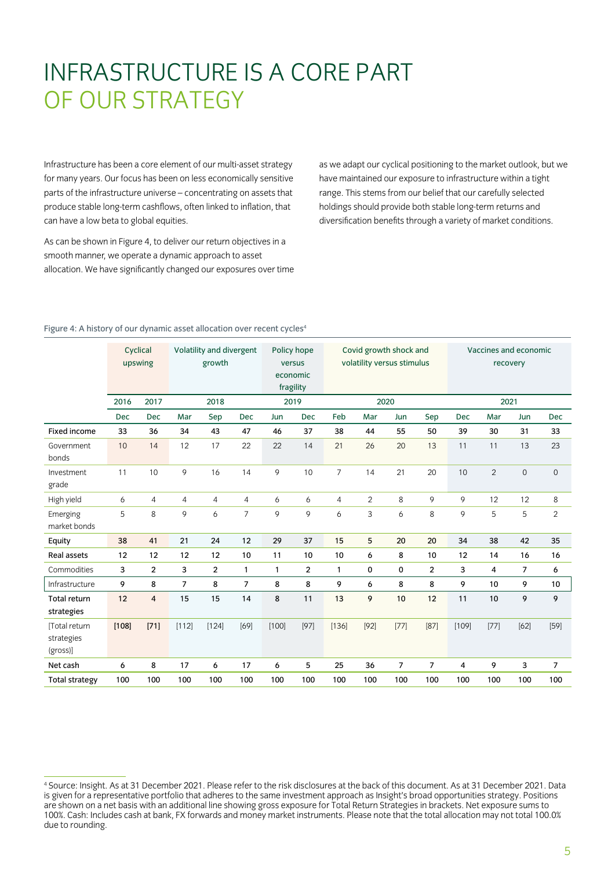# INFRASTRUCTURE IS A CORE PART OF OUR STRATEGY

Infrastructure has been a core element of our multi-asset strategy for many years. Our focus has been on less economically sensitive parts of the infrastructure universe – concentrating on assets that produce stable long-term cashflows, often linked to inflation, that can have a low beta to global equities.

As can be shown in Figure 4, to deliver our return objectives in a smooth manner, we operate a dynamic approach to asset allocation. We have significantly changed our exposures over time

as we adapt our cyclical positioning to the market outlook, but we have maintained our exposure to infrastructure within a tight range. This stems from our belief that our carefully selected holdings should provide both stable long-term returns and diversification benefits through a variety of market conditions.

|                                         | Cyclical<br>upswing |                         | Volatility and divergent<br>growth |                | Policy hope<br>versus<br>economic<br>fragility |              | Covid growth shock and<br>volatility versus stimulus |                |                           | Vaccines and economic<br>recovery |                |                |                |                |                |
|-----------------------------------------|---------------------|-------------------------|------------------------------------|----------------|------------------------------------------------|--------------|------------------------------------------------------|----------------|---------------------------|-----------------------------------|----------------|----------------|----------------|----------------|----------------|
|                                         | 2016                | 2017                    |                                    | 2018           |                                                | 2019         |                                                      | 2020           |                           |                                   | 2021           |                |                |                |                |
|                                         | <b>Dec</b>          | <b>Dec</b>              | Mar                                | Sep            | <b>Dec</b>                                     | Jun          | <b>Dec</b>                                           | Feb            | Mar                       | Jun                               | Sep            | <b>Dec</b>     | Mar            | Jun            | <b>Dec</b>     |
| Fixed income                            | 33                  | 36                      | 34                                 | 43             | 47                                             | 46           | 37                                                   | 38             | 44                        | 55                                | 50             | 39             | 30             | 31             | 33             |
| Government<br>bonds                     | 10                  | 14                      | 12                                 | 17             | 22                                             | 22           | 14                                                   | 21             | 26                        | 20                                | 13             | 11             | 11             | 13             | 23             |
| Investment<br>grade                     | 11                  | 10                      | 9                                  | 16             | 14                                             | 9            | 10                                                   | $\overline{7}$ | 14                        | 21                                | 20             | 10             | $\overline{2}$ | $\mathbf 0$    | $\mathbf 0$    |
| High yield                              | 6                   | $\overline{4}$          | $\overline{4}$                     | $\overline{4}$ | $\overline{4}$                                 | 6            | 6                                                    | $\overline{4}$ | $\overline{2}$            | 8                                 | 9              | 9              | 12             | 12             | 8              |
| Emerging<br>market bonds                | 5                   | 8                       | 9                                  | 6              | $\overline{7}$                                 | 9            | 9                                                    | 6              | $\ensuremath{\mathsf{3}}$ | 6                                 | 8              | 9              | 5              | 5              | $\overline{c}$ |
| Equity                                  | 38                  | 41                      | 21                                 | 24             | 12                                             | 29           | 37                                                   | 15             | 5                         | 20                                | 20             | 34             | 38             | 42             | 35             |
| <b>Real assets</b>                      | 12                  | 12                      | 12                                 | 12             | 10                                             | 11           | 10                                                   | 10             | 6                         | 8                                 | 10             | 12             | 14             | 16             | 16             |
| Commodities                             | 3                   | $\overline{\mathbf{c}}$ | 3                                  | $\overline{2}$ | $\mathbf{1}$                                   | $\mathbf{1}$ | $\overline{c}$                                       | $\mathbf{1}$   | 0                         | 0                                 | $\overline{2}$ | 3              | 4              | $\overline{7}$ | 6              |
| Infrastructure                          | 9                   | 8                       | $\overline{7}$                     | 8              | $\overline{7}$                                 | 8            | 8                                                    | 9              | 6                         | 8                                 | 8              | 9              | 10             | 9              | 10             |
| Total return<br>strategies              | 12                  | $\overline{4}$          | 15                                 | 15             | 14                                             | 8            | 11                                                   | 13             | 9                         | 10                                | 12             | 11             | 10             | 9              | 9              |
| [Total return<br>strategies<br>(gross)] | [108]               | $[71]$                  | [112]                              | $[124]$        | [69]                                           | [100]        | $[97]$                                               | [136]          | $[92]$                    | $[77]$                            | [87]           | [109]          | $[77]$         | [62]           | $[59]$         |
| Net cash                                | 6                   | 8                       | 17                                 | 6              | 17                                             | 6            | 5                                                    | 25             | 36                        | $\overline{7}$                    | $\overline{7}$ | $\overline{4}$ | 9              | 3              | $\overline{7}$ |
| <b>Total strategy</b>                   | 100                 | 100                     | 100                                | 100            | 100                                            | 100          | 100                                                  | 100            | 100                       | 100                               | 100            | 100            | 100            | 100            | 100            |

#### Figure 4: A history of our dynamic asset allocation over recent cycles<sup>4</sup>

<sup>4</sup> Source: Insight. As at 31 December 2021. Please refer to the risk disclosures at the back of this document. As at 31 December 2021. Data is given for a representative portfolio that adheres to the same investment approach as Insight's broad opportunities strategy. Positions are shown on a net basis with an additional line showing gross exposure for Total Return Strategies in brackets. Net exposure sums to 100%. Cash: Includes cash at bank, FX forwards and money market instruments. Please note that the total allocation may not total 100.0% due to rounding.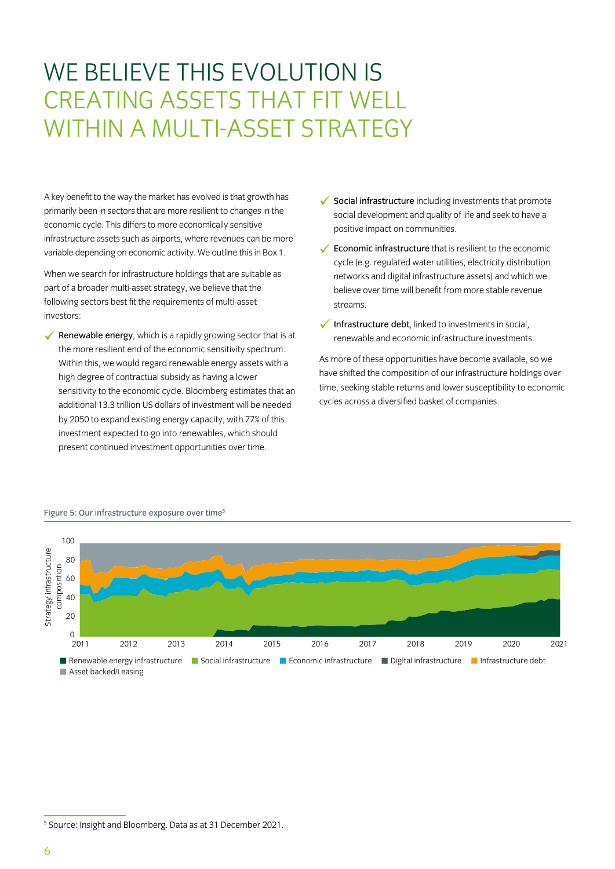# WE BELIEVE THIS EVOLUTION IS CREATING ASSETS THAT FIT WELL WITHIN A MULTI-ASSET STRATEGY

A key benefit to the way the market has evolved is that growth has primarily been in sectors that are more resilient to changes in the economic cycle. This differs to more economically sensitive infrastructure assets such as airports, where revenues can be more variable depending on economic activity. We outline this in Box 1.

When we search for infrastructure holdings that are suitable as part of a broader multi-asset strategy, we believe that the following sectors best fit the requirements of multi-asset investors:

**Example Exercise 2** Renewable energy, which is a rapidly growing sector that is at the more resilient end of the economic sensitivity spectrum. Within this, we would regard renewable energy assets with a high degree of contractual subsidy as having a lower sensitivity to the economic cycle. Bloomberg estimates that an additional 13.3 trillion US dollars of investment will be needed by 2050 to expand existing energy capacity, with 77% of this investment expected to go into renewables, which should present continued investment opportunities over time.

 $\checkmark$  Social infrastructure including investments that promote social development and quality of life and seek to have a positive impact on communities.

 $\checkmark$  Economic infrastructure that is resilient to the economic cycle (e.g. regulated water utilities, electricity distribution networks and digital infrastructure assets) and which we believe over time will benefit from more stable revenue streams.

 $\checkmark$  Infrastructure debt, linked to investments in social, renewable and economic infrastructure investments.

As more of these opportunities have become available, so we have shifted the composition of our infrastructure holdings over time, seeking stable returns and lower susceptibility to economic cycles across a diversified basket of companies.



#### Figure 5: Our infrastructure exposure over time<sup>5</sup>

<sup>5</sup> Source: Insight and Bloomberg. Data as at 31 December 2021.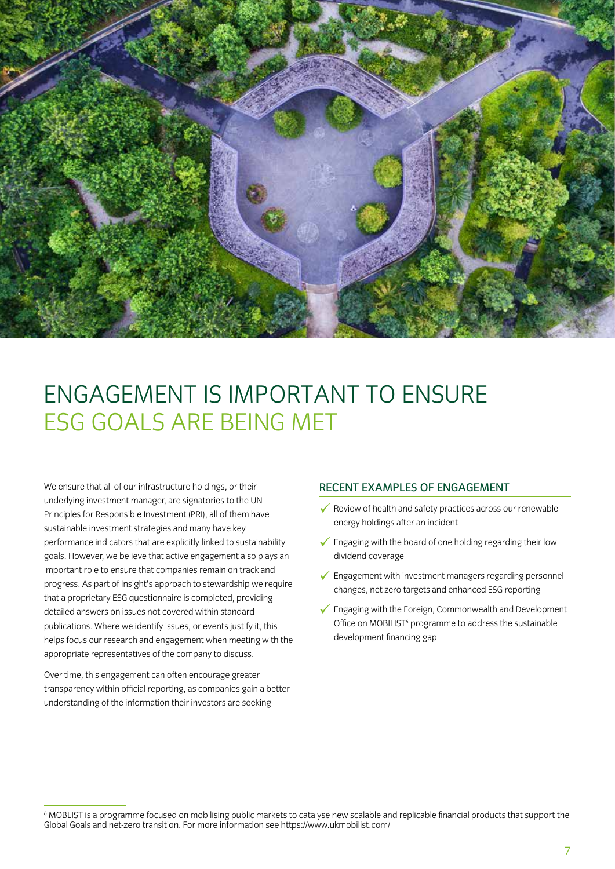

# ENGAGEMENT IS IMPORTANT TO ENSURE ESG GOALS ARE BEING MET

We ensure that all of our infrastructure holdings, or their underlying investment manager, are signatories to the UN Principles for Responsible Investment (PRI), all of them have sustainable investment strategies and many have key performance indicators that are explicitly linked to sustainability goals. However, we believe that active engagement also plays an important role to ensure that companies remain on track and progress. As part of Insight's approach to stewardship we require that a proprietary ESG questionnaire is completed, providing detailed answers on issues not covered within standard publications. Where we identify issues, or events justify it, this helps focus our research and engagement when meeting with the appropriate representatives of the company to discuss.

Over time, this engagement can often encourage greater transparency within official reporting, as companies gain a better understanding of the information their investors are seeking

#### RECENT EXAMPLES OF ENGAGEMENT

- $\checkmark$  Review of health and safety practices across our renewable energy holdings after an incident
- $\checkmark$  Engaging with the board of one holding regarding their low dividend coverage
- $\checkmark$  Engagement with investment managers regarding personnel changes, net zero targets and enhanced ESG reporting
- $\checkmark$  Engaging with the Foreign, Commonwealth and Development Office on MOBILIST<sup>6</sup> programme to address the sustainable development financing gap

<sup>6</sup> MOBLIST is a programme focused on mobilising public markets to catalyse new scalable and replicable financial products that support the Global Goals and net-zero transition. For more information see https://www.ukmobilist.com/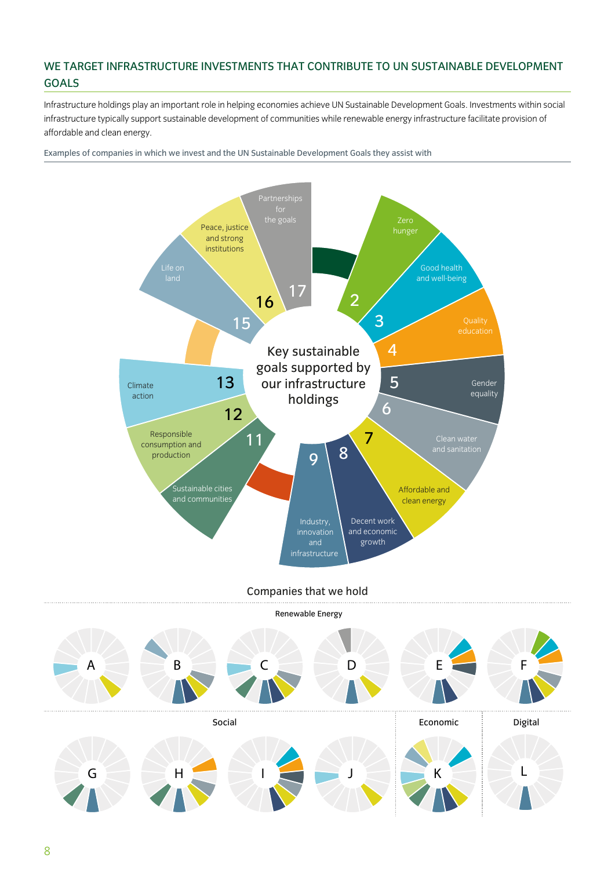### WE TARGET INFRASTRUCTURE INVESTMENTS THAT CONTRIBUTE TO UN SUSTAINABLE DEVELOPMENT GOALS

Infrastructure holdings play an important role in helping economies achieve UN Sustainable Development Goals. Investments within social infrastructure typically support sustainable development of communities while renewable energy infrastructure facilitate provision of affordable and clean energy.

Examples of companies in which we invest and the UN Sustainable Development Goals they assist with



Companies that we hold

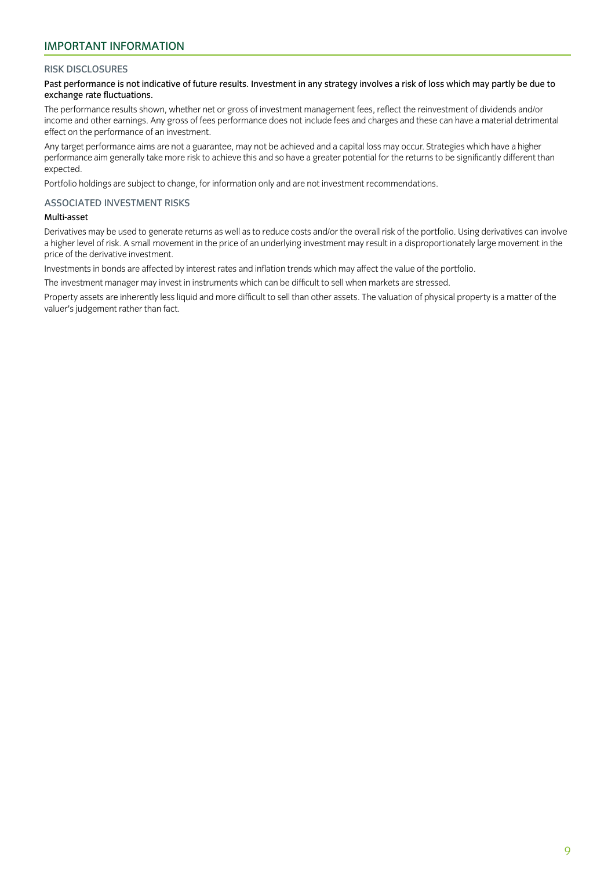### IMPORTANT INFORMATION

#### RISK DISCLOSURES

#### Past performance is not indicative of future results. Investment in any strategy involves a risk of loss which may partly be due to exchange rate fluctuations.

The performance results shown, whether net or gross of investment management fees, reflect the reinvestment of dividends and/or income and other earnings. Any gross of fees performance does not include fees and charges and these can have a material detrimental effect on the performance of an investment.

Any target performance aims are not a guarantee, may not be achieved and a capital loss may occur. Strategies which have a higher performance aim generally take more risk to achieve this and so have a greater potential for the returns to be significantly different than expected.

Portfolio holdings are subject to change, for information only and are not investment recommendations.

#### ASSOCIATED INVESTMENT RISKS

#### Multi-asset

Derivatives may be used to generate returns as well as to reduce costs and/or the overall risk of the portfolio. Using derivatives can involve a higher level of risk. A small movement in the price of an underlying investment may result in a disproportionately large movement in the price of the derivative investment.

Investments in bonds are affected by interest rates and inflation trends which may affect the value of the portfolio.

The investment manager may invest in instruments which can be difficult to sell when markets are stressed.

Property assets are inherently less liquid and more difficult to sell than other assets. The valuation of physical property is a matter of the valuer's judgement rather than fact.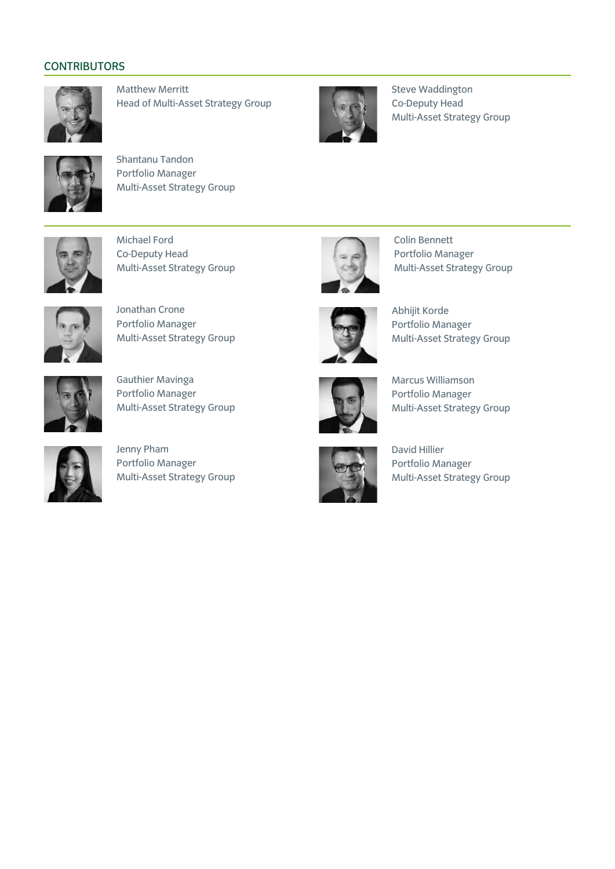### **CONTRIBUTORS**



Matthew Merritt Head of Multi-Asset Strategy Group



Steve Waddington Co-Deputy Head Multi-Asset Strategy Group



Shantanu Tandon Portfolio Manager Multi-Asset Strategy Group



Michael Ford Co-Deputy Head Multi-Asset Strategy Group



Jonathan Crone Portfolio Manager Multi-Asset Strategy Group



Gauthier Mavinga Portfolio Manager Multi-Asset Strategy Group



Jenny Pham Portfolio Manager Multi-Asset Strategy Group



Colin Bennett Portfolio Manager Multi-Asset Strategy Group



Abhijit Korde Portfolio Manager Multi-Asset Strategy Group



Marcus Williamson Portfolio Manager Multi-Asset Strategy Group



David Hillier Portfolio Manager Multi-Asset Strategy Group